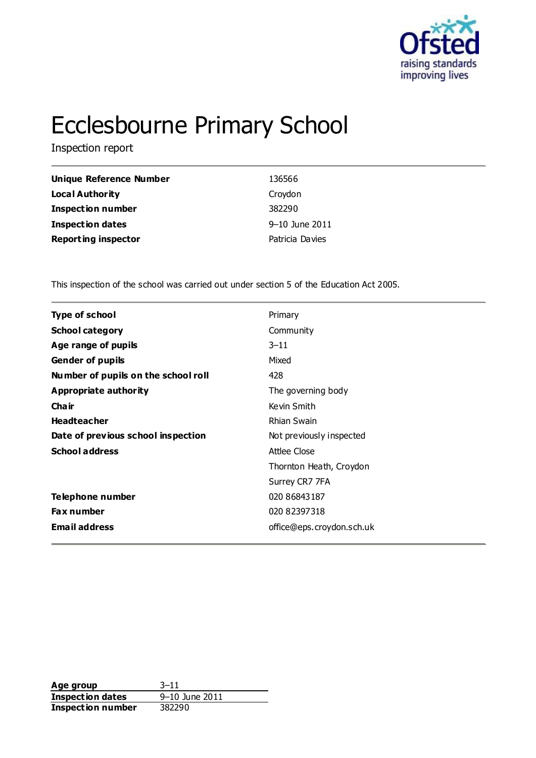

# Ecclesbourne Primary School

Inspection report

| Unique Reference Number    | 136566          |
|----------------------------|-----------------|
| <b>Local Authority</b>     | Croydon         |
| <b>Inspection number</b>   | 382290          |
| <b>Inspection dates</b>    | 9-10 June 2011  |
| <b>Reporting inspector</b> | Patricia Davies |

This inspection of the school was carried out under section 5 of the Education Act 2005.

| <b>Type of school</b>               | Primary                   |  |
|-------------------------------------|---------------------------|--|
| <b>School category</b>              | Community                 |  |
| Age range of pupils                 | $3 - 11$                  |  |
| <b>Gender of pupils</b>             | Mixed                     |  |
| Number of pupils on the school roll | 428                       |  |
| <b>Appropriate authority</b>        | The governing body        |  |
| Cha ir                              | Kevin Smith               |  |
| <b>Headteacher</b>                  | Rhian Swain               |  |
| Date of previous school inspection  | Not previously inspected  |  |
| <b>School address</b>               | <b>Attlee Close</b>       |  |
|                                     | Thornton Heath, Croydon   |  |
|                                     | Surrey CR7 7FA            |  |
| Telephone number                    | 020 86843187              |  |
| <b>Fax number</b>                   | 020 82397318              |  |
| <b>Email address</b>                | office@eps.croydon.sch.uk |  |
|                                     |                           |  |

**Age group** 3-11<br> **Inspection dates** 9-10 June 2011 **Inspection dates Inspection number** 382290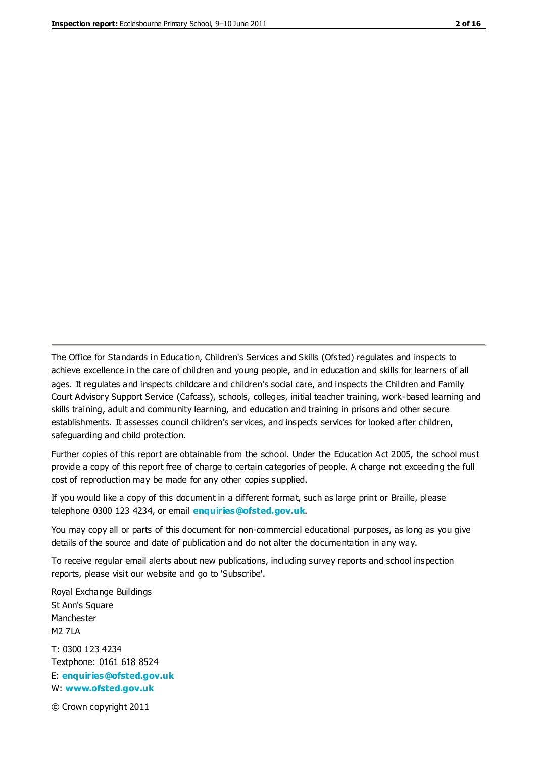The Office for Standards in Education, Children's Services and Skills (Ofsted) regulates and inspects to achieve excellence in the care of children and young people, and in education and skills for learners of all ages. It regulates and inspects childcare and children's social care, and inspects the Children and Family Court Advisory Support Service (Cafcass), schools, colleges, initial teacher training, work-based learning and skills training, adult and community learning, and education and training in prisons and other secure establishments. It assesses council children's services, and inspects services for looked after children, safeguarding and child protection.

Further copies of this report are obtainable from the school. Under the Education Act 2005, the school must provide a copy of this report free of charge to certain categories of people. A charge not exceeding the full cost of reproduction may be made for any other copies supplied.

If you would like a copy of this document in a different format, such as large print or Braille, please telephone 0300 123 4234, or email **[enquiries@ofsted.gov.uk](mailto:enquiries@ofsted.gov.uk)**.

You may copy all or parts of this document for non-commercial educational purposes, as long as you give details of the source and date of publication and do not alter the documentation in any way.

To receive regular email alerts about new publications, including survey reports and school inspection reports, please visit our website and go to 'Subscribe'.

Royal Exchange Buildings St Ann's Square Manchester M2 7LA T: 0300 123 4234 Textphone: 0161 618 8524 E: **[enquiries@ofsted.gov.uk](mailto:enquiries@ofsted.gov.uk)**

W: **[www.ofsted.gov.uk](http://www.ofsted.gov.uk/)**

© Crown copyright 2011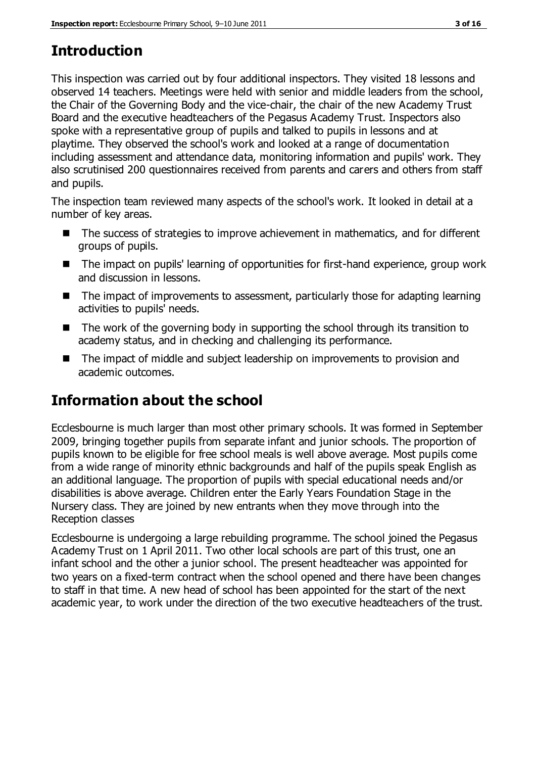# **Introduction**

This inspection was carried out by four additional inspectors. They visited 18 lessons and observed 14 teachers. Meetings were held with senior and middle leaders from the school, the Chair of the Governing Body and the vice-chair, the chair of the new Academy Trust Board and the executive headteachers of the Pegasus Academy Trust. Inspectors also spoke with a representative group of pupils and talked to pupils in lessons and at playtime. They observed the school's work and looked at a range of documentation including assessment and attendance data, monitoring information and pupils' work. They also scrutinised 200 questionnaires received from parents and carers and others from staff and pupils.

The inspection team reviewed many aspects of the school's work. It looked in detail at a number of key areas.

- The success of strategies to improve achievement in mathematics, and for different groups of pupils.
- The impact on pupils' learning of opportunities for first-hand experience, group work and discussion in lessons.
- The impact of improvements to assessment, particularly those for adapting learning activities to pupils' needs.
- $\blacksquare$  The work of the governing body in supporting the school through its transition to academy status, and in checking and challenging its performance.
- The impact of middle and subject leadership on improvements to provision and academic outcomes.

# **Information about the school**

Ecclesbourne is much larger than most other primary schools. It was formed in September 2009, bringing together pupils from separate infant and junior schools. The proportion of pupils known to be eligible for free school meals is well above average. Most pupils come from a wide range of minority ethnic backgrounds and half of the pupils speak English as an additional language. The proportion of pupils with special educational needs and/or disabilities is above average. Children enter the Early Years Foundation Stage in the Nursery class. They are joined by new entrants when they move through into the Reception classes

Ecclesbourne is undergoing a large rebuilding programme. The school joined the Pegasus Academy Trust on 1 April 2011. Two other local schools are part of this trust, one an infant school and the other a junior school. The present headteacher was appointed for two years on a fixed-term contract when the school opened and there have been changes to staff in that time. A new head of school has been appointed for the start of the next academic year, to work under the direction of the two executive headteachers of the trust.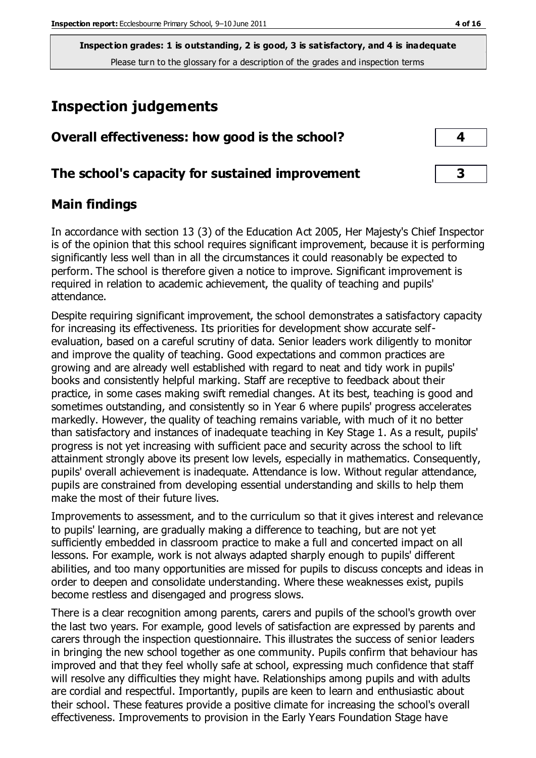## **Inspection judgements**

| Overall effectiveness: how good is the school?  |  |
|-------------------------------------------------|--|
| The school's capacity for sustained improvement |  |

## **Main findings**

In accordance with section 13 (3) of the Education Act 2005, Her Majesty's Chief Inspector is of the opinion that this school requires significant improvement, because it is performing significantly less well than in all the circumstances it could reasonably be expected to perform. The school is therefore given a notice to improve. Significant improvement is required in relation to academic achievement, the quality of teaching and pupils' attendance.

Despite requiring significant improvement, the school demonstrates a satisfactory capacity for increasing its effectiveness. Its priorities for development show accurate selfevaluation, based on a careful scrutiny of data. Senior leaders work diligently to monitor and improve the quality of teaching. Good expectations and common practices are growing and are already well established with regard to neat and tidy work in pupils' books and consistently helpful marking. Staff are receptive to feedback about their practice, in some cases making swift remedial changes. At its best, teaching is good and sometimes outstanding, and consistently so in Year 6 where pupils' progress accelerates markedly. However, the quality of teaching remains variable, with much of it no better than satisfactory and instances of inadequate teaching in Key Stage 1. As a result, pupils' progress is not yet increasing with sufficient pace and security across the school to lift attainment strongly above its present low levels, especially in mathematics. Consequently, pupils' overall achievement is inadequate. Attendance is low. Without regular attendance, pupils are constrained from developing essential understanding and skills to help them make the most of their future lives.

Improvements to assessment, and to the curriculum so that it gives interest and relevance to pupils' learning, are gradually making a difference to teaching, but are not yet sufficiently embedded in classroom practice to make a full and concerted impact on all lessons. For example, work is not always adapted sharply enough to pupils' different abilities, and too many opportunities are missed for pupils to discuss concepts and ideas in order to deepen and consolidate understanding. Where these weaknesses exist, pupils become restless and disengaged and progress slows.

There is a clear recognition among parents, carers and pupils of the school's growth over the last two years. For example, good levels of satisfaction are expressed by parents and carers through the inspection questionnaire. This illustrates the success of senior leaders in bringing the new school together as one community. Pupils confirm that behaviour has improved and that they feel wholly safe at school, expressing much confidence that staff will resolve any difficulties they might have. Relationships among pupils and with adults are cordial and respectful. Importantly, pupils are keen to learn and enthusiastic about their school. These features provide a positive climate for increasing the school's overall effectiveness. Improvements to provision in the Early Years Foundation Stage have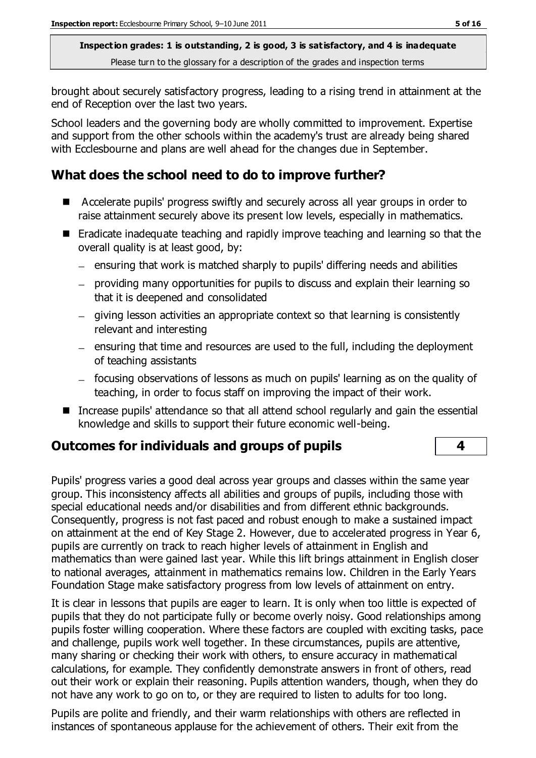brought about securely satisfactory progress, leading to a rising trend in attainment at the end of Reception over the last two years.

School leaders and the governing body are wholly committed to improvement. Expertise and support from the other schools within the academy's trust are already being shared with Ecclesbourne and plans are well ahead for the changes due in September.

## **What does the school need to do to improve further?**

- Accelerate pupils' progress swiftly and securely across all year groups in order to raise attainment securely above its present low levels, especially in mathematics.
- Eradicate inadequate teaching and rapidly improve teaching and learning so that the overall quality is at least good, by:
	- $-$  ensuring that work is matched sharply to pupils' differing needs and abilities
	- providing many opportunities for pupils to discuss and explain their learning so that it is deepened and consolidated
	- giving lesson activities an appropriate context so that learning is consistently relevant and interesting
	- $-$  ensuring that time and resources are used to the full, including the deployment of teaching assistants
	- focusing observations of lessons as much on pupils' learning as on the quality of teaching, in order to focus staff on improving the impact of their work.
- Increase pupils' attendance so that all attend school regularly and gain the essential knowledge and skills to support their future economic well-being.

## **Outcomes for individuals and groups of pupils 4**

Pupils' progress varies a good deal across year groups and classes within the same year group. This inconsistency affects all abilities and groups of pupils, including those with special educational needs and/or disabilities and from different ethnic backgrounds. Consequently, progress is not fast paced and robust enough to make a sustained impact on attainment at the end of Key Stage 2. However, due to accelerated progress in Year 6, pupils are currently on track to reach higher levels of attainment in English and mathematics than were gained last year. While this lift brings attainment in English closer to national averages, attainment in mathematics remains low. Children in the Early Years Foundation Stage make satisfactory progress from low levels of attainment on entry.

It is clear in lessons that pupils are eager to learn. It is only when too little is expected of pupils that they do not participate fully or become overly noisy. Good relationships among pupils foster willing cooperation. Where these factors are coupled with exciting tasks, pace and challenge, pupils work well together. In these circumstances, pupils are attentive, many sharing or checking their work with others, to ensure accuracy in mathematical calculations, for example. They confidently demonstrate answers in front of others, read out their work or explain their reasoning. Pupils attention wanders, though, when they do not have any work to go on to, or they are required to listen to adults for too long.

Pupils are polite and friendly, and their warm relationships with others are reflected in instances of spontaneous applause for the achievement of others. Their exit from the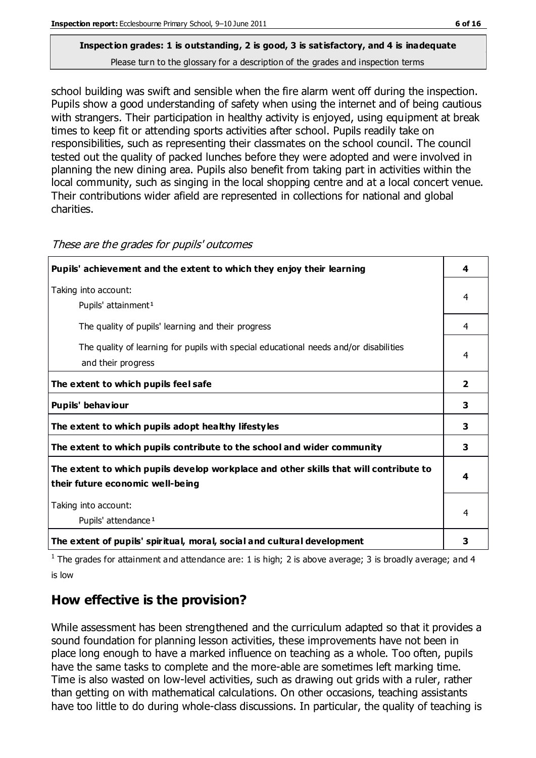# **Inspection grades: 1 is outstanding, 2 is good, 3 is satisfactory, and 4 is inadequate**

Please turn to the glossary for a description of the grades and inspection terms

school building was swift and sensible when the fire alarm went off during the inspection. Pupils show a good understanding of safety when using the internet and of being cautious with strangers. Their participation in healthy activity is enjoyed, using equipment at break times to keep fit or attending sports activities after school. Pupils readily take on responsibilities, such as representing their classmates on the school council. The council tested out the quality of packed lunches before they were adopted and were involved in planning the new dining area. Pupils also benefit from taking part in activities within the local community, such as singing in the local shopping centre and at a local concert venue. Their contributions wider afield are represented in collections for national and global charities.

| Pupils' achievement and the extent to which they enjoy their learning                                                     | 4                       |
|---------------------------------------------------------------------------------------------------------------------------|-------------------------|
| Taking into account:<br>Pupils' attainment <sup>1</sup>                                                                   | 4                       |
| The quality of pupils' learning and their progress                                                                        | 4                       |
| The quality of learning for pupils with special educational needs and/or disabilities<br>and their progress               | 4                       |
| The extent to which pupils feel safe                                                                                      | $\overline{\mathbf{2}}$ |
| Pupils' behaviour                                                                                                         | 3                       |
| The extent to which pupils adopt healthy lifestyles                                                                       | 3                       |
| The extent to which pupils contribute to the school and wider community                                                   | 3                       |
| The extent to which pupils develop workplace and other skills that will contribute to<br>their future economic well-being | 4                       |
| Taking into account:<br>Pupils' attendance <sup>1</sup>                                                                   | 4                       |
| The extent of pupils' spiritual, moral, social and cultural development                                                   | 3                       |

These are the grades for pupils' outcomes

<sup>1</sup> The grades for attainment and attendance are: 1 is high; 2 is above average; 3 is broadly average; and 4 is low

## **How effective is the provision?**

While assessment has been strengthened and the curriculum adapted so that it provides a sound foundation for planning lesson activities, these improvements have not been in place long enough to have a marked influence on teaching as a whole. Too often, pupils have the same tasks to complete and the more-able are sometimes left marking time. Time is also wasted on low-level activities, such as drawing out grids with a ruler, rather than getting on with mathematical calculations. On other occasions, teaching assistants have too little to do during whole-class discussions. In particular, the quality of teaching is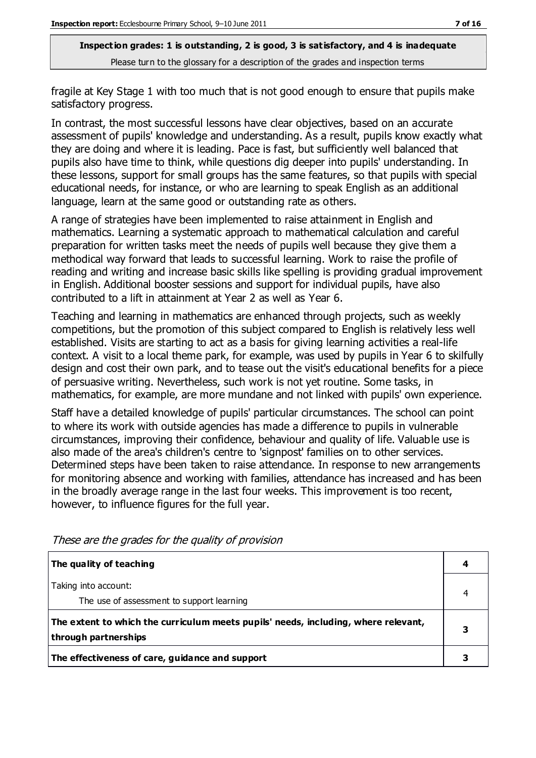fragile at Key Stage 1 with too much that is not good enough to ensure that pupils make satisfactory progress.

In contrast, the most successful lessons have clear objectives, based on an accurate assessment of pupils' knowledge and understanding. As a result, pupils know exactly what they are doing and where it is leading. Pace is fast, but sufficiently well balanced that pupils also have time to think, while questions dig deeper into pupils' understanding. In these lessons, support for small groups has the same features, so that pupils with special educational needs, for instance, or who are learning to speak English as an additional language, learn at the same good or outstanding rate as others.

A range of strategies have been implemented to raise attainment in English and mathematics. Learning a systematic approach to mathematical calculation and careful preparation for written tasks meet the needs of pupils well because they give them a methodical way forward that leads to successful learning. Work to raise the profile of reading and writing and increase basic skills like spelling is providing gradual improvement in English. Additional booster sessions and support for individual pupils, have also contributed to a lift in attainment at Year 2 as well as Year 6.

Teaching and learning in mathematics are enhanced through projects, such as weekly competitions, but the promotion of this subject compared to English is relatively less well established. Visits are starting to act as a basis for giving learning activities a real-life context. A visit to a local theme park, for example, was used by pupils in Year 6 to skilfully design and cost their own park, and to tease out the visit's educational benefits for a piece of persuasive writing. Nevertheless, such work is not yet routine. Some tasks, in mathematics, for example, are more mundane and not linked with pupils' own experience.

Staff have a detailed knowledge of pupils' particular circumstances. The school can point to where its work with outside agencies has made a difference to pupils in vulnerable circumstances, improving their confidence, behaviour and quality of life. Valuable use is also made of the area's children's centre to 'signpost' families on to other services. Determined steps have been taken to raise attendance. In response to new arrangements for monitoring absence and working with families, attendance has increased and has been in the broadly average range in the last four weeks. This improvement is too recent, however, to influence figures for the full year.

| The quality of teaching                                                                                    |  |
|------------------------------------------------------------------------------------------------------------|--|
| Taking into account:<br>The use of assessment to support learning                                          |  |
| The extent to which the curriculum meets pupils' needs, including, where relevant,<br>through partnerships |  |
| The effectiveness of care, guidance and support                                                            |  |

These are the grades for the quality of provision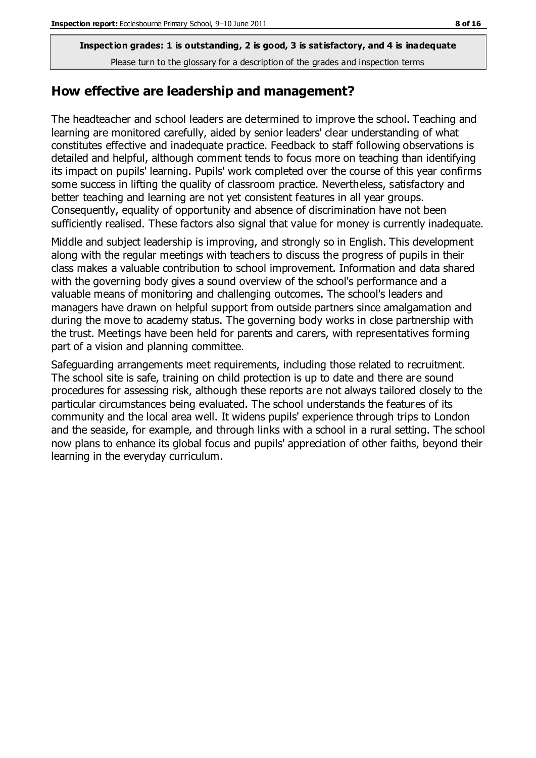#### **How effective are leadership and management?**

The headteacher and school leaders are determined to improve the school. Teaching and learning are monitored carefully, aided by senior leaders' clear understanding of what constitutes effective and inadequate practice. Feedback to staff following observations is detailed and helpful, although comment tends to focus more on teaching than identifying its impact on pupils' learning. Pupils' work completed over the course of this year confirms some success in lifting the quality of classroom practice. Nevertheless, satisfactory and better teaching and learning are not yet consistent features in all year groups. Consequently, equality of opportunity and absence of discrimination have not been sufficiently realised. These factors also signal that value for money is currently inadequate.

Middle and subject leadership is improving, and strongly so in English. This development along with the regular meetings with teachers to discuss the progress of pupils in their class makes a valuable contribution to school improvement. Information and data shared with the governing body gives a sound overview of the school's performance and a valuable means of monitoring and challenging outcomes. The school's leaders and managers have drawn on helpful support from outside partners since amalgamation and during the move to academy status. The governing body works in close partnership with the trust. Meetings have been held for parents and carers, with representatives forming part of a vision and planning committee.

Safeguarding arrangements meet requirements, including those related to recruitment. The school site is safe, training on child protection is up to date and there are sound procedures for assessing risk, although these reports are not always tailored closely to the particular circumstances being evaluated. The school understands the features of its community and the local area well. It widens pupils' experience through trips to London and the seaside, for example, and through links with a school in a rural setting. The school now plans to enhance its global focus and pupils' appreciation of other faiths, beyond their learning in the everyday curriculum.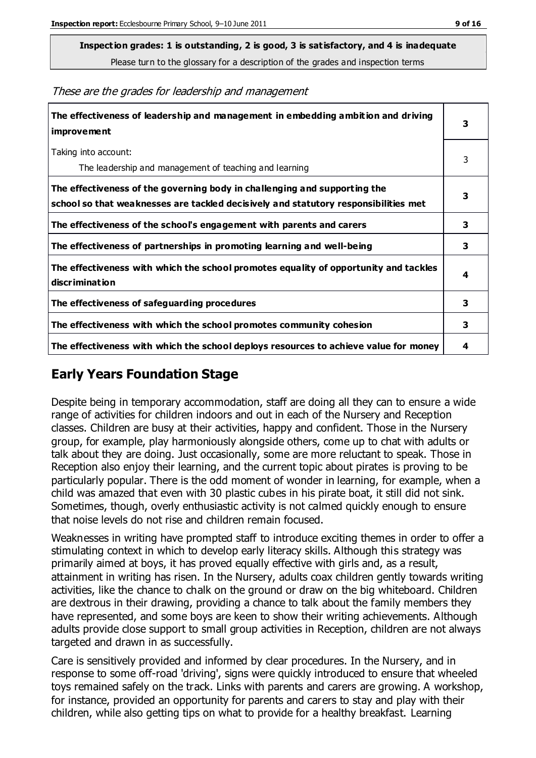**Inspection grades: 1 is outstanding, 2 is good, 3 is satisfactory, and 4 is inadequate**

Please turn to the glossary for a description of the grades and inspection terms

These are the grades for leadership and management

| The effectiveness of leadership and management in embedding ambition and driving<br>improvement                                                                  | 3 |
|------------------------------------------------------------------------------------------------------------------------------------------------------------------|---|
| Taking into account:<br>The leadership and management of teaching and learning                                                                                   | 3 |
| The effectiveness of the governing body in challenging and supporting the<br>school so that weaknesses are tackled decisively and statutory responsibilities met | 3 |
| The effectiveness of the school's engagement with parents and carers                                                                                             | 3 |
| The effectiveness of partnerships in promoting learning and well-being                                                                                           | 3 |
| The effectiveness with which the school promotes equality of opportunity and tackles<br>discrimination                                                           | 4 |
| The effectiveness of safeguarding procedures                                                                                                                     | 3 |
| The effectiveness with which the school promotes community cohesion                                                                                              | 3 |
| The effectiveness with which the school deploys resources to achieve value for money                                                                             | 4 |

#### **Early Years Foundation Stage**

Despite being in temporary accommodation, staff are doing all they can to ensure a wide range of activities for children indoors and out in each of the Nursery and Reception classes. Children are busy at their activities, happy and confident. Those in the Nursery group, for example, play harmoniously alongside others, come up to chat with adults or talk about they are doing. Just occasionally, some are more reluctant to speak. Those in Reception also enjoy their learning, and the current topic about pirates is proving to be particularly popular. There is the odd moment of wonder in learning, for example, when a child was amazed that even with 30 plastic cubes in his pirate boat, it still did not sink. Sometimes, though, overly enthusiastic activity is not calmed quickly enough to ensure that noise levels do not rise and children remain focused.

Weaknesses in writing have prompted staff to introduce exciting themes in order to offer a stimulating context in which to develop early literacy skills. Although this strategy was primarily aimed at boys, it has proved equally effective with girls and, as a result, attainment in writing has risen. In the Nursery, adults coax children gently towards writing activities, like the chance to chalk on the ground or draw on the big whiteboard. Children are dextrous in their drawing, providing a chance to talk about the family members they have represented, and some boys are keen to show their writing achievements. Although adults provide close support to small group activities in Reception, children are not always targeted and drawn in as successfully.

Care is sensitively provided and informed by clear procedures. In the Nursery, and in response to some off-road 'driving', signs were quickly introduced to ensure that wheeled toys remained safely on the track. Links with parents and carers are growing. A workshop, for instance, provided an opportunity for parents and carers to stay and play with their children, while also getting tips on what to provide for a healthy breakfast. Learning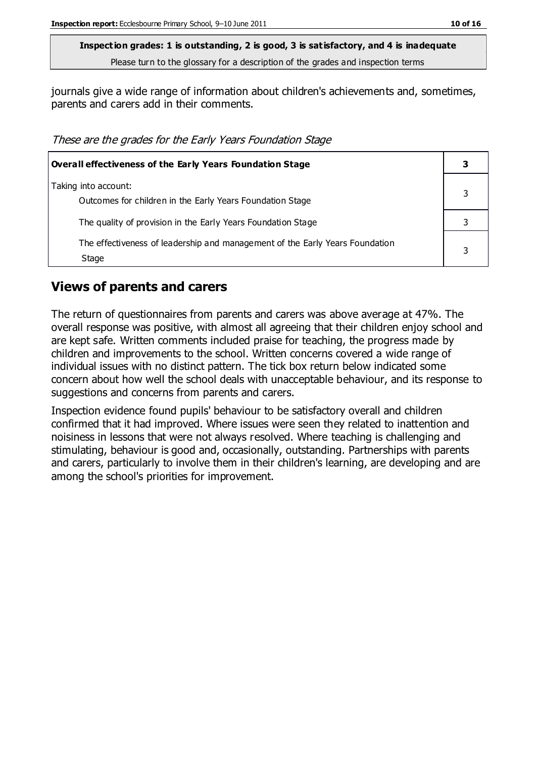journals give a wide range of information about children's achievements and, sometimes, parents and carers add in their comments.

These are the grades for the Early Years Foundation Stage

| Overall effectiveness of the Early Years Foundation Stage                             |   |
|---------------------------------------------------------------------------------------|---|
| Taking into account:<br>Outcomes for children in the Early Years Foundation Stage     |   |
| The quality of provision in the Early Years Foundation Stage                          |   |
| The effectiveness of leadership and management of the Early Years Foundation<br>Stage | 3 |

#### **Views of parents and carers**

The return of questionnaires from parents and carers was above average at 47%. The overall response was positive, with almost all agreeing that their children enjoy school and are kept safe. Written comments included praise for teaching, the progress made by children and improvements to the school. Written concerns covered a wide range of individual issues with no distinct pattern. The tick box return below indicated some concern about how well the school deals with unacceptable behaviour, and its response to suggestions and concerns from parents and carers.

Inspection evidence found pupils' behaviour to be satisfactory overall and children confirmed that it had improved. Where issues were seen they related to inattention and noisiness in lessons that were not always resolved. Where teaching is challenging and stimulating, behaviour is good and, occasionally, outstanding. Partnerships with parents and carers, particularly to involve them in their children's learning, are developing and are among the school's priorities for improvement.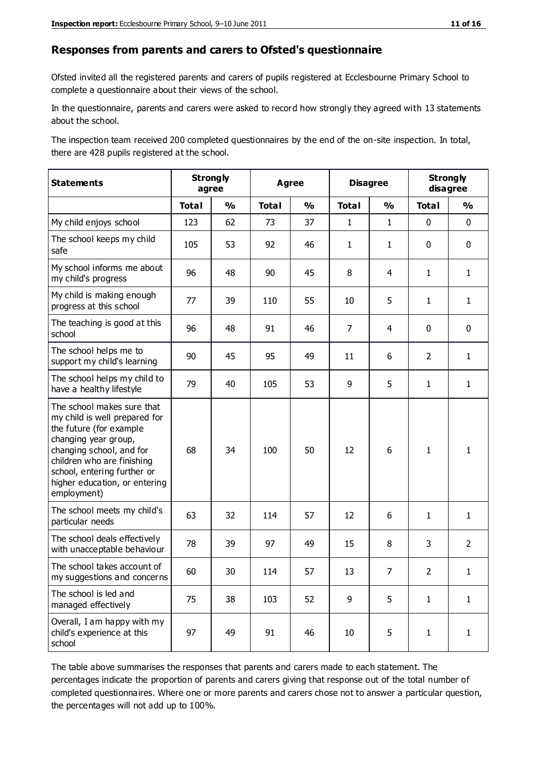#### **Responses from parents and carers to Ofsted's questionnaire**

Ofsted invited all the registered parents and carers of pupils registered at Ecclesbourne Primary School to complete a questionnaire about their views of the school.

In the questionnaire, parents and carers were asked to record how strongly they agreed with 13 statements about the school.

The inspection team received 200 completed questionnaires by the end of the on-site inspection. In total, there are 428 pupils registered at the school.

| <b>Statements</b>                                                                                                                                                                                                                                       | <b>Strongly</b><br>agree |               | <b>Agree</b> |               | <b>Disagree</b> |                | <b>Strongly</b><br>disagree |                |
|---------------------------------------------------------------------------------------------------------------------------------------------------------------------------------------------------------------------------------------------------------|--------------------------|---------------|--------------|---------------|-----------------|----------------|-----------------------------|----------------|
|                                                                                                                                                                                                                                                         | <b>Total</b>             | $\frac{1}{2}$ | <b>Total</b> | $\frac{0}{0}$ | <b>Total</b>    | $\frac{1}{2}$  | <b>Total</b>                | $\frac{0}{0}$  |
| My child enjoys school                                                                                                                                                                                                                                  | 123                      | 62            | 73           | 37            | $\mathbf{1}$    | $\mathbf{1}$   | $\mathbf 0$                 | $\mathbf 0$    |
| The school keeps my child<br>safe                                                                                                                                                                                                                       | 105                      | 53            | 92           | 46            | $\mathbf{1}$    | $\mathbf{1}$   | $\mathbf 0$                 | $\mathbf 0$    |
| My school informs me about<br>my child's progress                                                                                                                                                                                                       | 96                       | 48            | 90           | 45            | 8               | $\overline{4}$ | $\mathbf{1}$                | $\mathbf{1}$   |
| My child is making enough<br>progress at this school                                                                                                                                                                                                    | 77                       | 39            | 110          | 55            | 10              | 5              | $\mathbf{1}$                | $\mathbf{1}$   |
| The teaching is good at this<br>school                                                                                                                                                                                                                  | 96                       | 48            | 91           | 46            | $\overline{7}$  | 4              | $\mathbf 0$                 | $\mathbf 0$    |
| The school helps me to<br>support my child's learning                                                                                                                                                                                                   | 90                       | 45            | 95           | 49            | 11              | 6              | $\overline{2}$              | $\mathbf{1}$   |
| The school helps my child to<br>have a healthy lifestyle                                                                                                                                                                                                | 79                       | 40            | 105          | 53            | 9               | 5              | $\mathbf{1}$                | $\mathbf{1}$   |
| The school makes sure that<br>my child is well prepared for<br>the future (for example<br>changing year group,<br>changing school, and for<br>children who are finishing<br>school, entering further or<br>higher education, or entering<br>employment) | 68                       | 34            | 100          | 50            | 12              | 6              | $\mathbf{1}$                | $\mathbf{1}$   |
| The school meets my child's<br>particular needs                                                                                                                                                                                                         | 63                       | 32            | 114          | 57            | 12              | 6              | $\mathbf{1}$                | $\mathbf{1}$   |
| The school deals effectively<br>with unacceptable behaviour                                                                                                                                                                                             | 78                       | 39            | 97           | 49            | 15              | 8              | 3                           | $\overline{2}$ |
| The school takes account of<br>my suggestions and concerns                                                                                                                                                                                              | 60                       | 30            | 114          | 57            | 13              | 7              | $\overline{2}$              | 1.             |
| The school is led and<br>managed effectively                                                                                                                                                                                                            | 75                       | 38            | 103          | 52            | 9               | 5              | $\mathbf{1}$                | $\mathbf{1}$   |
| Overall, I am happy with my<br>child's experience at this<br>school                                                                                                                                                                                     | 97                       | 49            | 91           | 46            | 10              | 5              | $\mathbf{1}$                | $\mathbf{1}$   |

The table above summarises the responses that parents and carers made to each statement. The percentages indicate the proportion of parents and carers giving that response out of the total number of completed questionnaires. Where one or more parents and carers chose not to answer a particular question, the percentages will not add up to 100%.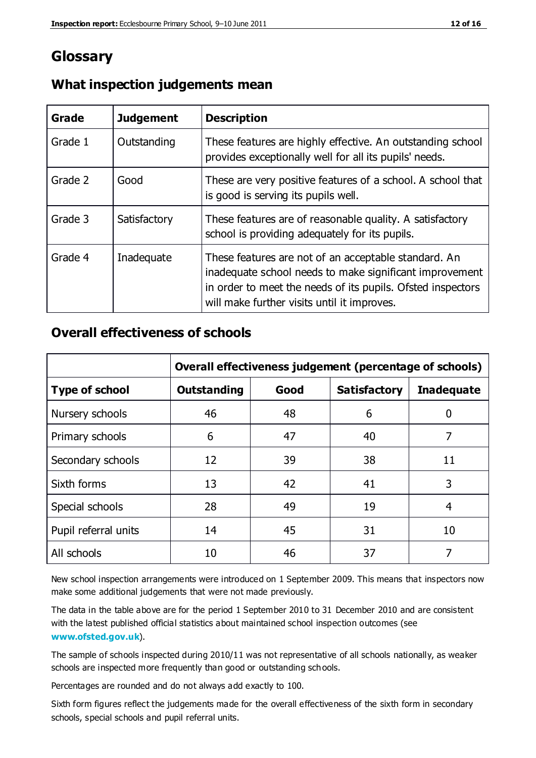## **Glossary**

| Grade   | <b>Judgement</b> | <b>Description</b>                                                                                                                                                                                                            |
|---------|------------------|-------------------------------------------------------------------------------------------------------------------------------------------------------------------------------------------------------------------------------|
| Grade 1 | Outstanding      | These features are highly effective. An outstanding school<br>provides exceptionally well for all its pupils' needs.                                                                                                          |
| Grade 2 | Good             | These are very positive features of a school. A school that<br>is good is serving its pupils well.                                                                                                                            |
| Grade 3 | Satisfactory     | These features are of reasonable quality. A satisfactory<br>school is providing adequately for its pupils.                                                                                                                    |
| Grade 4 | Inadequate       | These features are not of an acceptable standard. An<br>inadequate school needs to make significant improvement<br>in order to meet the needs of its pupils. Ofsted inspectors<br>will make further visits until it improves. |

#### **What inspection judgements mean**

#### **Overall effectiveness of schools**

|                       | Overall effectiveness judgement (percentage of schools) |      |                     |                   |
|-----------------------|---------------------------------------------------------|------|---------------------|-------------------|
| <b>Type of school</b> | <b>Outstanding</b>                                      | Good | <b>Satisfactory</b> | <b>Inadequate</b> |
| Nursery schools       | 46                                                      | 48   | 6                   |                   |
| Primary schools       | 6                                                       | 47   | 40                  | 7                 |
| Secondary schools     | 12                                                      | 39   | 38                  | 11                |
| Sixth forms           | 13                                                      | 42   | 41                  | 3                 |
| Special schools       | 28                                                      | 49   | 19                  | 4                 |
| Pupil referral units  | 14                                                      | 45   | 31                  | 10                |
| All schools           | 10                                                      | 46   | 37                  |                   |

New school inspection arrangements were introduced on 1 September 2009. This means that inspectors now make some additional judgements that were not made previously.

The data in the table above are for the period 1 September 2010 to 31 December 2010 and are consistent with the latest published official statistics about maintained school inspection outcomes (see **[www.ofsted.gov.uk](http://www.ofsted.gov.uk/)**).

The sample of schools inspected during 2010/11 was not representative of all schools nationally, as weaker schools are inspected more frequently than good or outstanding schools.

Percentages are rounded and do not always add exactly to 100.

Sixth form figures reflect the judgements made for the overall effectiveness of the sixth form in secondary schools, special schools and pupil referral units.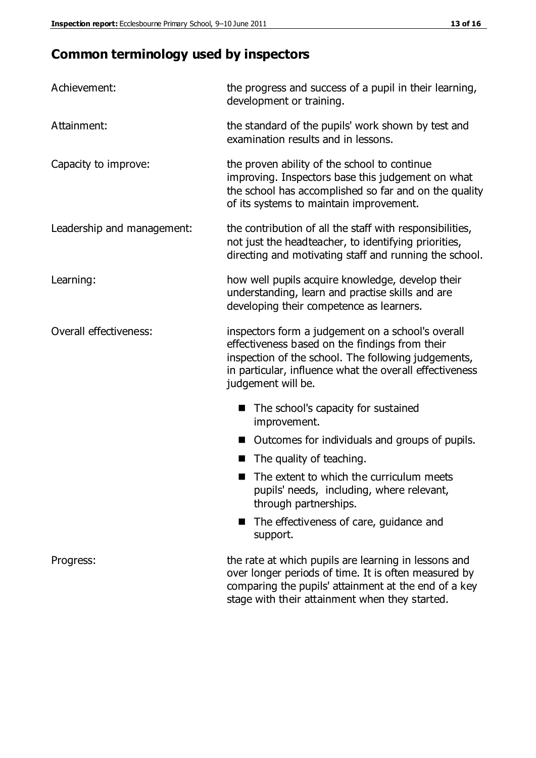## **Common terminology used by inspectors**

| Achievement:                  | the progress and success of a pupil in their learning,<br>development or training.                                                                                                                                                          |  |  |
|-------------------------------|---------------------------------------------------------------------------------------------------------------------------------------------------------------------------------------------------------------------------------------------|--|--|
| Attainment:                   | the standard of the pupils' work shown by test and<br>examination results and in lessons.                                                                                                                                                   |  |  |
| Capacity to improve:          | the proven ability of the school to continue<br>improving. Inspectors base this judgement on what<br>the school has accomplished so far and on the quality<br>of its systems to maintain improvement.                                       |  |  |
| Leadership and management:    | the contribution of all the staff with responsibilities,<br>not just the headteacher, to identifying priorities,<br>directing and motivating staff and running the school.                                                                  |  |  |
| Learning:                     | how well pupils acquire knowledge, develop their<br>understanding, learn and practise skills and are<br>developing their competence as learners.                                                                                            |  |  |
| <b>Overall effectiveness:</b> | inspectors form a judgement on a school's overall<br>effectiveness based on the findings from their<br>inspection of the school. The following judgements,<br>in particular, influence what the overall effectiveness<br>judgement will be. |  |  |
|                               | The school's capacity for sustained<br>improvement.                                                                                                                                                                                         |  |  |
|                               | Outcomes for individuals and groups of pupils.                                                                                                                                                                                              |  |  |
|                               | The quality of teaching.                                                                                                                                                                                                                    |  |  |
|                               | The extent to which the curriculum meets<br>pupils' needs, including, where relevant,<br>through partnerships.                                                                                                                              |  |  |
|                               | The effectiveness of care, guidance and<br>support.                                                                                                                                                                                         |  |  |
| Progress:                     | the rate at which pupils are learning in lessons and<br>over longer periods of time. It is often measured by<br>comparing the pupils' attainment at the end of a key                                                                        |  |  |

stage with their attainment when they started.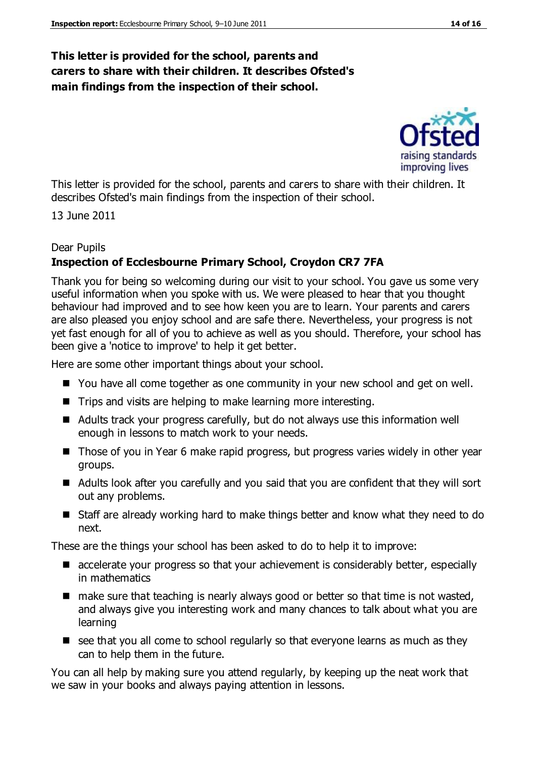#### **This letter is provided for the school, parents and carers to share with their children. It describes Ofsted's main findings from the inspection of their school.**

improving lives

This letter is provided for the school, parents and carers to share with their children. It describes Ofsted's main findings from the inspection of their school.

13 June 2011

#### Dear Pupils

#### **Inspection of Ecclesbourne Primary School, Croydon CR7 7FA**

Thank you for being so welcoming during our visit to your school. You gave us some very useful information when you spoke with us. We were pleased to hear that you thought behaviour had improved and to see how keen you are to learn. Your parents and carers are also pleased you enjoy school and are safe there. Nevertheless, your progress is not yet fast enough for all of you to achieve as well as you should. Therefore, your school has been give a 'notice to improve' to help it get better.

Here are some other important things about your school.

- You have all come together as one community in your new school and get on well.
- $\blacksquare$  Trips and visits are helping to make learning more interesting.
- Adults track your progress carefully, but do not always use this information well enough in lessons to match work to your needs.
- Those of you in Year 6 make rapid progress, but progress varies widely in other year groups.
- Adults look after you carefully and you said that you are confident that they will sort out any problems.
- Staff are already working hard to make things better and know what they need to do next.

These are the things your school has been asked to do to help it to improve:

- accelerate your progress so that your achievement is considerably better, especially in mathematics
- $\blacksquare$  make sure that teaching is nearly always good or better so that time is not wasted, and always give you interesting work and many chances to talk about what you are learning
- $\blacksquare$  see that you all come to school regularly so that everyone learns as much as they can to help them in the future.

You can all help by making sure you attend regularly, by keeping up the neat work that we saw in your books and always paying attention in lessons.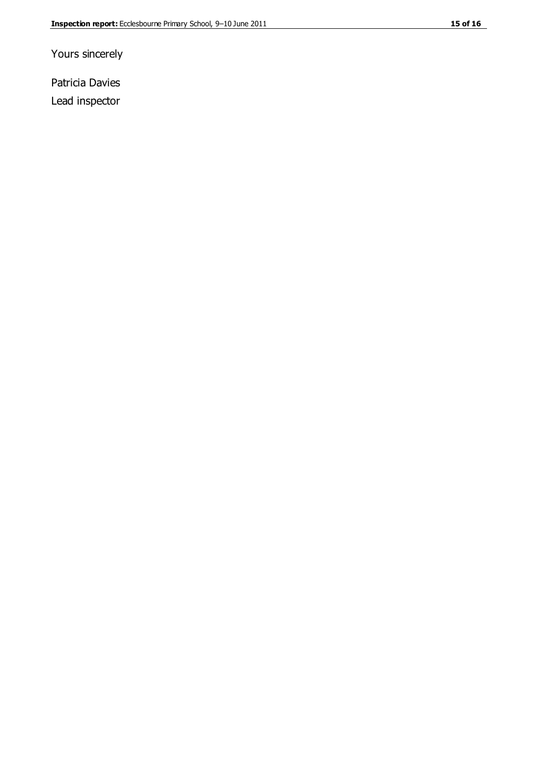Yours sincerely

Patricia Davies Lead inspector